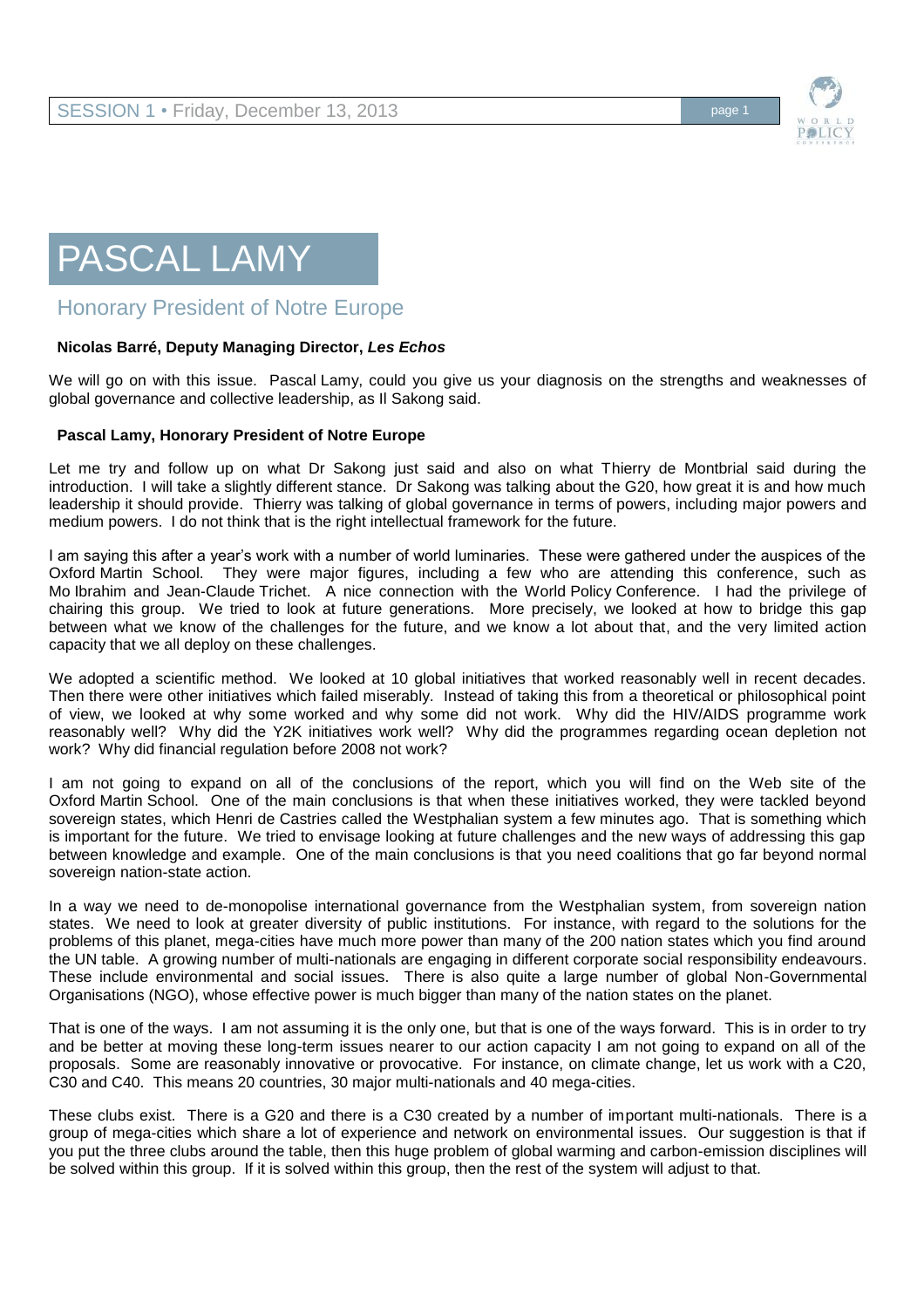

## PASCAL LAMY

## Honorary President of Notre Europe

## **Nicolas Barré, Deputy Managing Director,** *Les Echos*

We will go on with this issue. Pascal Lamy, could you give us your diagnosis on the strengths and weaknesses of global governance and collective leadership, as Il Sakong said.

## **Pascal Lamy, Honorary President of Notre Europe**

Let me try and follow up on what Dr Sakong just said and also on what Thierry de Montbrial said during the introduction. I will take a slightly different stance. Dr Sakong was talking about the G20, how great it is and how much leadership it should provide. Thierry was talking of global governance in terms of powers, including major powers and medium powers. I do not think that is the right intellectual framework for the future.

I am saying this after a year's work with a number of world luminaries. These were gathered under the auspices of the Oxford Martin School. They were major figures, including a few who are attending this conference, such as Mo Ibrahim and Jean-Claude Trichet. A nice connection with the World Policy Conference. I had the privilege of chairing this group. We tried to look at future generations. More precisely, we looked at how to bridge this gap between what we know of the challenges for the future, and we know a lot about that, and the very limited action capacity that we all deploy on these challenges.

We adopted a scientific method. We looked at 10 global initiatives that worked reasonably well in recent decades. Then there were other initiatives which failed miserably. Instead of taking this from a theoretical or philosophical point of view, we looked at why some worked and why some did not work. Why did the HIV/AIDS programme work reasonably well? Why did the Y2K initiatives work well? Why did the programmes regarding ocean depletion not work? Why did financial regulation before 2008 not work?

I am not going to expand on all of the conclusions of the report, which you will find on the Web site of the Oxford Martin School. One of the main conclusions is that when these initiatives worked, they were tackled beyond sovereign states, which Henri de Castries called the Westphalian system a few minutes ago. That is something which is important for the future. We tried to envisage looking at future challenges and the new ways of addressing this gap between knowledge and example. One of the main conclusions is that you need coalitions that go far beyond normal sovereign nation-state action.

In a way we need to de-monopolise international governance from the Westphalian system, from sovereign nation states. We need to look at greater diversity of public institutions. For instance, with regard to the solutions for the problems of this planet, mega-cities have much more power than many of the 200 nation states which you find around the UN table. A growing number of multi-nationals are engaging in different corporate social responsibility endeavours. These include environmental and social issues. There is also quite a large number of global Non-Governmental Organisations (NGO), whose effective power is much bigger than many of the nation states on the planet.

That is one of the ways. I am not assuming it is the only one, but that is one of the ways forward. This is in order to try and be better at moving these long-term issues nearer to our action capacity I am not going to expand on all of the proposals. Some are reasonably innovative or provocative. For instance, on climate change, let us work with a C20, C30 and C40. This means 20 countries, 30 major multi-nationals and 40 mega-cities.

These clubs exist. There is a G20 and there is a C30 created by a number of important multi-nationals. There is a group of mega-cities which share a lot of experience and network on environmental issues. Our suggestion is that if you put the three clubs around the table, then this huge problem of global warming and carbon-emission disciplines will be solved within this group. If it is solved within this group, then the rest of the system will adjust to that.